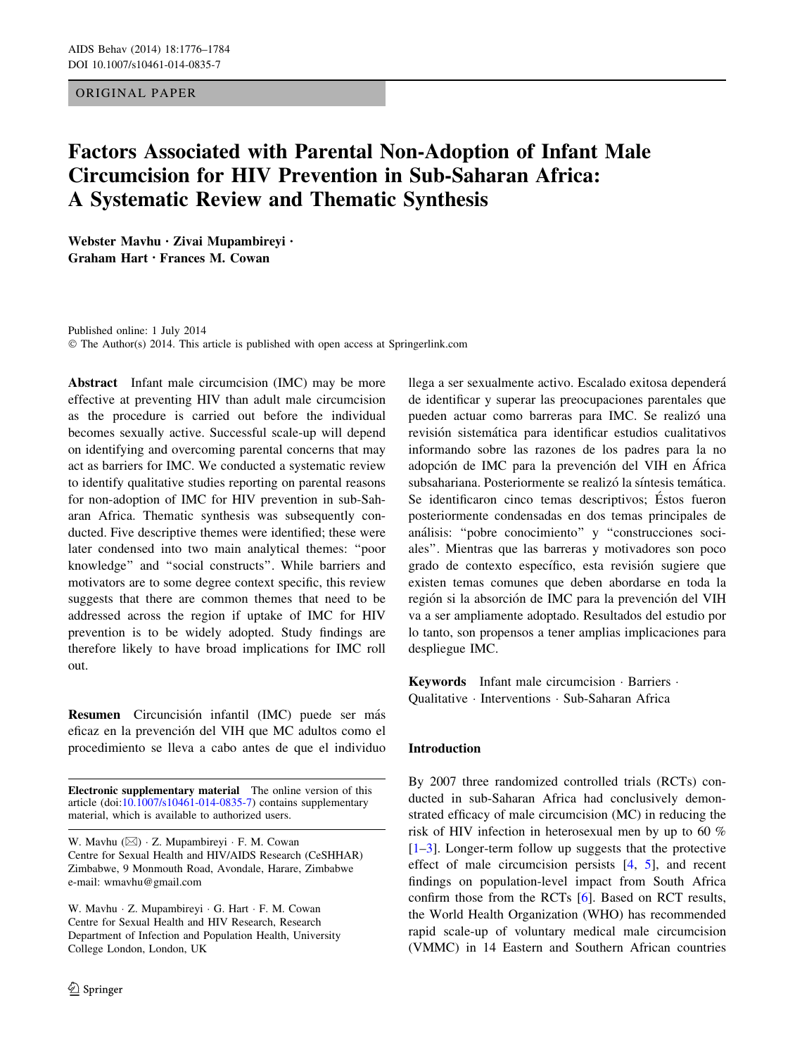## ORIGINAL PAPER

# Factors Associated with Parental Non-Adoption of Infant Male Circumcision for HIV Prevention in Sub-Saharan Africa: A Systematic Review and Thematic Synthesis

Webster Mavhu • Zivai Mupambireyi • Graham Hart • Frances M. Cowan

Published online: 1 July 2014 © The Author(s) 2014. This article is published with open access at Springerlink.com

Abstract Infant male circumcision (IMC) may be more effective at preventing HIV than adult male circumcision as the procedure is carried out before the individual becomes sexually active. Successful scale-up will depend on identifying and overcoming parental concerns that may act as barriers for IMC. We conducted a systematic review to identify qualitative studies reporting on parental reasons for non-adoption of IMC for HIV prevention in sub-Saharan Africa. Thematic synthesis was subsequently conducted. Five descriptive themes were identified; these were later condensed into two main analytical themes: ''poor knowledge'' and ''social constructs''. While barriers and motivators are to some degree context specific, this review suggests that there are common themes that need to be addressed across the region if uptake of IMC for HIV prevention is to be widely adopted. Study findings are therefore likely to have broad implications for IMC roll out.

Resumen Circuncisión infantil (IMC) puede ser más eficaz en la prevención del VIH que MC adultos como el procedimiento se lleva a cabo antes de que el individuo

Electronic supplementary material The online version of this article (doi:[10.1007/s10461-014-0835-7\)](http://dx.doi.org/10.1007/s10461-014-0835-7) contains supplementary material, which is available to authorized users.

W. Mavhu  $(\boxtimes) \cdot Z$ . Mupambireyi  $\cdot$  F. M. Cowan Centre for Sexual Health and HIV/AIDS Research (CeSHHAR) Zimbabwe, 9 Monmouth Road, Avondale, Harare, Zimbabwe e-mail: wmavhu@gmail.com

W. Mavhu · Z. Mupambireyi · G. Hart · F. M. Cowan Centre for Sexual Health and HIV Research, Research Department of Infection and Population Health, University College London, London, UK

llega a ser sexualmente activo. Escalado exitosa dependera´ de identificar y superar las preocupaciones parentales que pueden actuar como barreras para IMC. Se realizó una revisión sistemática para identificar estudios cualitativos informando sobre las razones de los padres para la no adopción de IMC para la prevención del VIH en África subsahariana. Posteriormente se realizó la síntesis temática. Se identificaron cinco temas descriptivos; Estos fueron posteriormente condensadas en dos temas principales de análisis: "pobre conocimiento" y "construcciones sociales''. Mientras que las barreras y motivadores son poco grado de contexto específico, esta revisión sugiere que existen temas comunes que deben abordarse en toda la región si la absorción de IMC para la prevención del VIH va a ser ampliamente adoptado. Resultados del estudio por lo tanto, son propensos a tener amplias implicaciones para despliegue IMC.

Keywords Infant male circumcision - Barriers - Qualitative - Interventions - Sub-Saharan Africa

#### Introduction

By 2007 three randomized controlled trials (RCTs) conducted in sub-Saharan Africa had conclusively demonstrated efficacy of male circumcision (MC) in reducing the risk of HIV infection in heterosexual men by up to 60 % [\[1–3](#page-7-0)]. Longer-term follow up suggests that the protective effect of male circumcision persists [\[4](#page-7-0), [5](#page-7-0)], and recent findings on population-level impact from South Africa confirm those from the RCTs [[6\]](#page-7-0). Based on RCT results, the World Health Organization (WHO) has recommended rapid scale-up of voluntary medical male circumcision (VMMC) in 14 Eastern and Southern African countries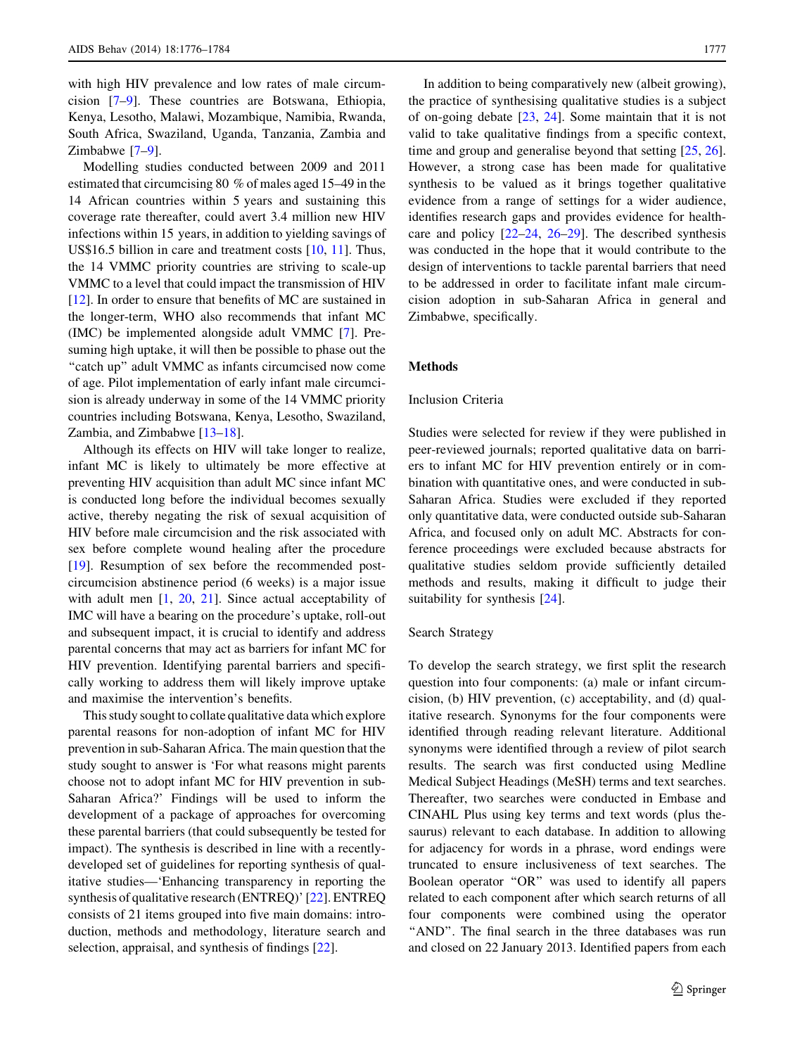with high HIV prevalence and low rates of male circumcision [[7–9\]](#page-7-0). These countries are Botswana, Ethiopia, Kenya, Lesotho, Malawi, Mozambique, Namibia, Rwanda, South Africa, Swaziland, Uganda, Tanzania, Zambia and Zimbabwe [[7–9](#page-7-0)].

Modelling studies conducted between 2009 and 2011 estimated that circumcising 80 % of males aged 15–49 in the 14 African countries within 5 years and sustaining this coverage rate thereafter, could avert 3.4 million new HIV infections within 15 years, in addition to yielding savings of US\$16.5 billion in care and treatment costs [[10,](#page-7-0) [11](#page-7-0)]. Thus, the 14 VMMC priority countries are striving to scale-up VMMC to a level that could impact the transmission of HIV [\[12](#page-7-0)]. In order to ensure that benefits of MC are sustained in the longer-term, WHO also recommends that infant MC (IMC) be implemented alongside adult VMMC [\[7](#page-7-0)]. Presuming high uptake, it will then be possible to phase out the "catch up" adult VMMC as infants circumcised now come of age. Pilot implementation of early infant male circumcision is already underway in some of the 14 VMMC priority countries including Botswana, Kenya, Lesotho, Swaziland, Zambia, and Zimbabwe [\[13–18](#page-7-0)].

Although its effects on HIV will take longer to realize, infant MC is likely to ultimately be more effective at preventing HIV acquisition than adult MC since infant MC is conducted long before the individual becomes sexually active, thereby negating the risk of sexual acquisition of HIV before male circumcision and the risk associated with sex before complete wound healing after the procedure [\[19](#page-7-0)]. Resumption of sex before the recommended postcircumcision abstinence period (6 weeks) is a major issue with adult men [\[1](#page-7-0), [20,](#page-7-0) [21](#page-7-0)]. Since actual acceptability of IMC will have a bearing on the procedure's uptake, roll-out and subsequent impact, it is crucial to identify and address parental concerns that may act as barriers for infant MC for HIV prevention. Identifying parental barriers and specifically working to address them will likely improve uptake and maximise the intervention's benefits.

This study sought to collate qualitative data which explore parental reasons for non-adoption of infant MC for HIV prevention in sub-Saharan Africa. The main question that the study sought to answer is 'For what reasons might parents choose not to adopt infant MC for HIV prevention in sub-Saharan Africa?' Findings will be used to inform the development of a package of approaches for overcoming these parental barriers (that could subsequently be tested for impact). The synthesis is described in line with a recentlydeveloped set of guidelines for reporting synthesis of qualitative studies—'Enhancing transparency in reporting the synthesis of qualitative research (ENTREQ)' [\[22](#page-7-0)]. ENTREQ consists of 21 items grouped into five main domains: introduction, methods and methodology, literature search and selection, appraisal, and synthesis of findings [[22\]](#page-7-0).

In addition to being comparatively new (albeit growing), the practice of synthesising qualitative studies is a subject of on-going debate [\[23](#page-7-0), [24\]](#page-7-0). Some maintain that it is not valid to take qualitative findings from a specific context, time and group and generalise beyond that setting [\[25](#page-7-0), [26](#page-7-0)]. However, a strong case has been made for qualitative synthesis to be valued as it brings together qualitative evidence from a range of settings for a wider audience, identifies research gaps and provides evidence for healthcare and policy [\[22–24](#page-7-0), [26–29](#page-7-0)]. The described synthesis was conducted in the hope that it would contribute to the design of interventions to tackle parental barriers that need to be addressed in order to facilitate infant male circumcision adoption in sub-Saharan Africa in general and Zimbabwe, specifically.

## Methods

#### Inclusion Criteria

Studies were selected for review if they were published in peer-reviewed journals; reported qualitative data on barriers to infant MC for HIV prevention entirely or in combination with quantitative ones, and were conducted in sub-Saharan Africa. Studies were excluded if they reported only quantitative data, were conducted outside sub-Saharan Africa, and focused only on adult MC. Abstracts for conference proceedings were excluded because abstracts for qualitative studies seldom provide sufficiently detailed methods and results, making it difficult to judge their suitability for synthesis [[24\]](#page-7-0).

#### Search Strategy

To develop the search strategy, we first split the research question into four components: (a) male or infant circumcision, (b) HIV prevention, (c) acceptability, and (d) qualitative research. Synonyms for the four components were identified through reading relevant literature. Additional synonyms were identified through a review of pilot search results. The search was first conducted using Medline Medical Subject Headings (MeSH) terms and text searches. Thereafter, two searches were conducted in Embase and CINAHL Plus using key terms and text words (plus thesaurus) relevant to each database. In addition to allowing for adjacency for words in a phrase, word endings were truncated to ensure inclusiveness of text searches. The Boolean operator "OR" was used to identify all papers related to each component after which search returns of all four components were combined using the operator "AND". The final search in the three databases was run and closed on 22 January 2013. Identified papers from each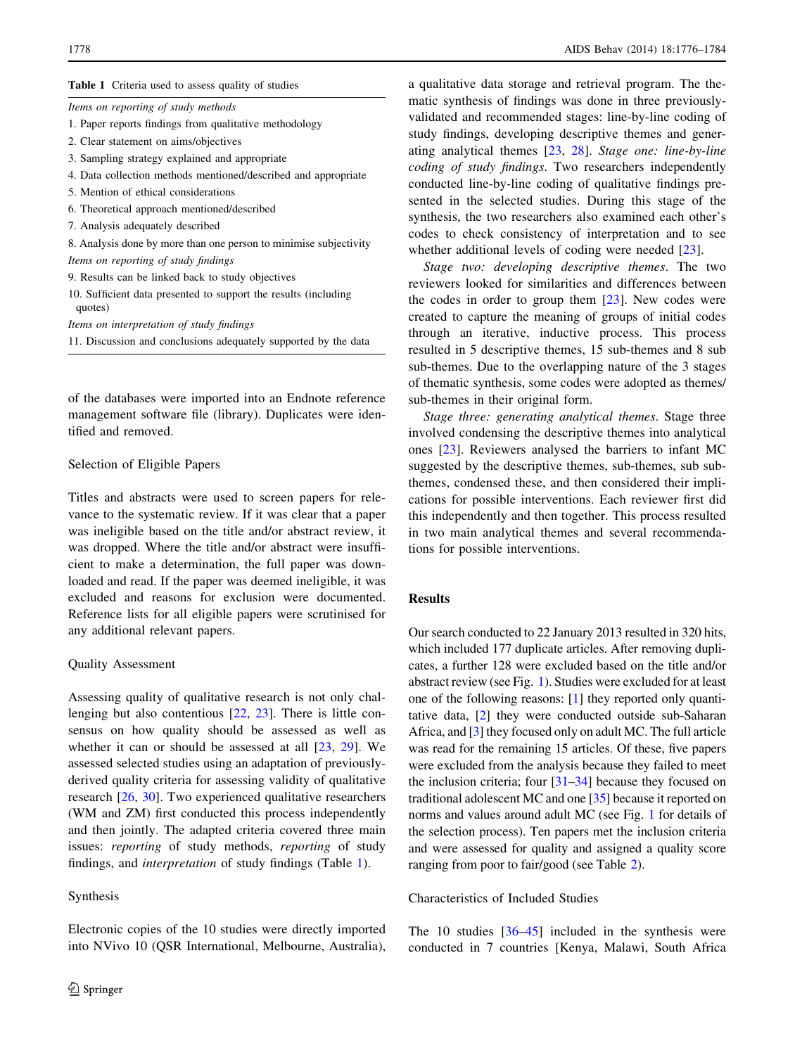#### Table 1 Criteria used to assess quality of studies

Items on reporting of study methods

- 1. Paper reports findings from qualitative methodology
- 2. Clear statement on aims/objectives
- 3. Sampling strategy explained and appropriate
- 4. Data collection methods mentioned/described and appropriate
- 5. Mention of ethical considerations
- 6. Theoretical approach mentioned/described
- 7. Analysis adequately described

8. Analysis done by more than one person to minimise subjectivity

- Items on reporting of study findings
- 9. Results can be linked back to study objectives
- 10. Sufficient data presented to support the results (including quotes)

Items on interpretation of study findings

11. Discussion and conclusions adequately supported by the data

of the databases were imported into an Endnote reference management software file (library). Duplicates were identified and removed.

#### Selection of Eligible Papers

Titles and abstracts were used to screen papers for relevance to the systematic review. If it was clear that a paper was ineligible based on the title and/or abstract review, it was dropped. Where the title and/or abstract were insufficient to make a determination, the full paper was downloaded and read. If the paper was deemed ineligible, it was excluded and reasons for exclusion were documented. Reference lists for all eligible papers were scrutinised for any additional relevant papers.

#### Quality Assessment

Assessing quality of qualitative research is not only challenging but also contentious [\[22](#page-7-0), [23](#page-7-0)]. There is little consensus on how quality should be assessed as well as whether it can or should be assessed at all [[23,](#page-7-0) [29](#page-7-0)]. We assessed selected studies using an adaptation of previouslyderived quality criteria for assessing validity of qualitative research [[26,](#page-7-0) [30\]](#page-7-0). Two experienced qualitative researchers (WM and ZM) first conducted this process independently and then jointly. The adapted criteria covered three main issues: reporting of study methods, reporting of study findings, and interpretation of study findings (Table 1).

## Synthesis

Electronic copies of the 10 studies were directly imported into NVivo 10 (QSR International, Melbourne, Australia),

a qualitative data storage and retrieval program. The thematic synthesis of findings was done in three previouslyvalidated and recommended stages: line-by-line coding of study findings, developing descriptive themes and generating analytical themes [[23,](#page-7-0) [28](#page-7-0)]. Stage one: line-by-line coding of study findings. Two researchers independently conducted line-by-line coding of qualitative findings presented in the selected studies. During this stage of the synthesis, the two researchers also examined each other's codes to check consistency of interpretation and to see whether additional levels of coding were needed [[23\]](#page-7-0).

Stage two: developing descriptive themes. The two reviewers looked for similarities and differences between the codes in order to group them [[23\]](#page-7-0). New codes were created to capture the meaning of groups of initial codes through an iterative, inductive process. This process resulted in 5 descriptive themes, 15 sub-themes and 8 sub sub-themes. Due to the overlapping nature of the 3 stages of thematic synthesis, some codes were adopted as themes/ sub-themes in their original form.

Stage three: generating analytical themes. Stage three involved condensing the descriptive themes into analytical ones [\[23\]](#page-7-0). Reviewers analysed the barriers to infant MC suggested by the descriptive themes, sub-themes, sub subthemes, condensed these, and then considered their implications for possible interventions. Each reviewer first did this independently and then together. This process resulted in two main analytical themes and several recommendations for possible interventions.

# Results

Our search conducted to 22 January 2013 resulted in 320 hits, which included 177 duplicate articles. After removing duplicates, a further 128 were excluded based on the title and/or abstract review (see Fig. [1](#page-3-0)). Studies were excluded for at least one of the following reasons: [\[1\]](#page-7-0) they reported only quantitative data, [\[2](#page-7-0)] they were conducted outside sub-Saharan Africa, and [[3](#page-7-0)] they focused only on adult MC. The full article was read for the remaining 15 articles. Of these, five papers were excluded from the analysis because they failed to meet the inclusion criteria; four  $\left[31-34\right]$  because they focused on traditional adolescent MC and one [\[35](#page-8-0)] because it reported on norms and values around adult MC (see Fig. [1](#page-3-0) for details of the selection process). Ten papers met the inclusion criteria and were assessed for quality and assigned a quality score ranging from poor to fair/good (see Table [2\)](#page-3-0).

Characteristics of Included Studies

The 10 studies  $[36-45]$  included in the synthesis were conducted in 7 countries [Kenya, Malawi, South Africa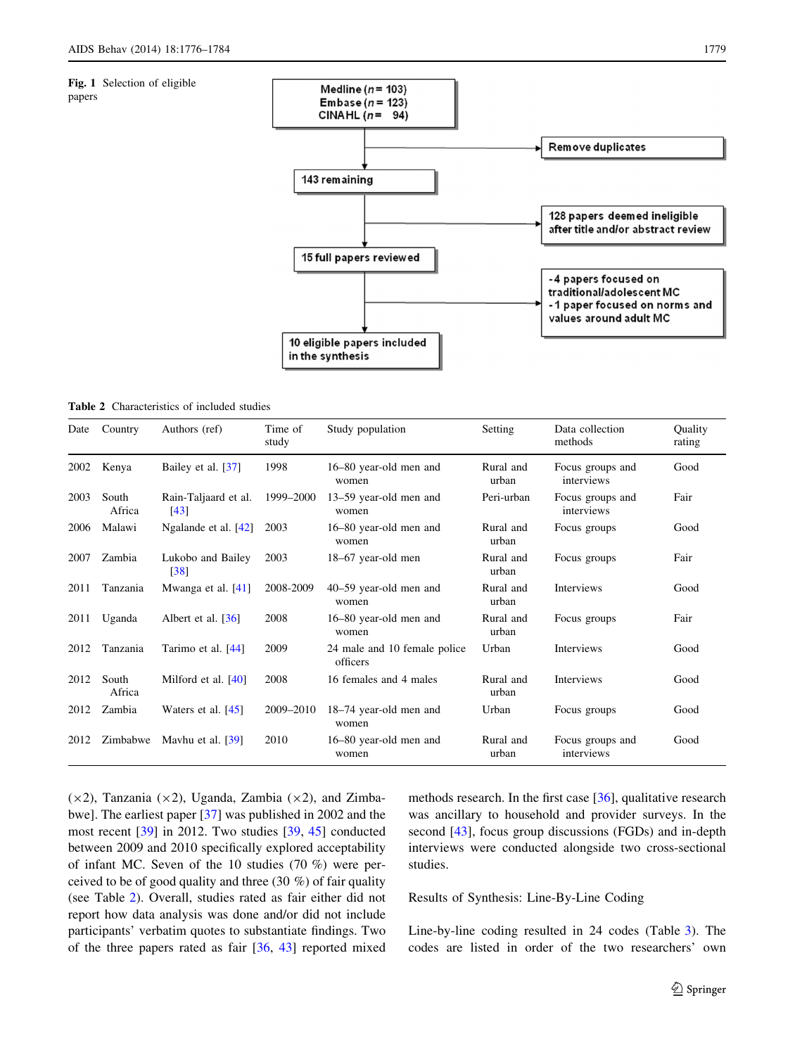<span id="page-3-0"></span>



Table 2 Characteristics of included studies

| Date | Country         | Authors (ref)                    | Time of<br>study | Study population                         | Setting            | Data collection<br>methods     | Quality<br>rating |
|------|-----------------|----------------------------------|------------------|------------------------------------------|--------------------|--------------------------------|-------------------|
| 2002 | Kenya           | Bailey et al. $[37]$             | 1998             | 16–80 year-old men and<br>women          | Rural and<br>urban | Focus groups and<br>interviews | Good              |
| 2003 | South<br>Africa | Rain-Taljaard et al.<br>$[43]$   | 1999-2000        | 13–59 year-old men and<br>women          | Peri-urban         | Focus groups and<br>interviews | Fair              |
| 2006 | Malawi          | Ngalande et al. $[42]$           | 2003             | 16–80 year-old men and<br>women          | Rural and<br>urban | Focus groups                   | Good              |
| 2007 | Zambia          | Lukobo and Bailey<br>[38]        | 2003             | 18–67 year-old men                       | Rural and<br>urban | Focus groups                   | Fair              |
| 2011 | Tanzania        | Mwanga et al. $[41]$             | 2008-2009        | 40–59 year-old men and<br>women          | Rural and<br>urban | Interviews                     | Good              |
| 2011 | Uganda          | Albert et al. $\lceil 36 \rceil$ | 2008             | 16–80 year-old men and<br>women          | Rural and<br>urban | Focus groups                   | Fair              |
| 2012 | Tanzania        | Tarimo et al. [44]               | 2009             | 24 male and 10 female police<br>officers | Urban              | Interviews                     | Good              |
| 2012 | South<br>Africa | Milford et al. $[40]$            | 2008             | 16 females and 4 males                   | Rural and<br>urban | Interviews                     | Good              |
| 2012 | Zambia          | Waters et al. $[45]$             | 2009-2010        | 18–74 year-old men and<br>women          | Urban              | Focus groups                   | Good              |
| 2012 | Zimbabwe        | Mayhu et al. $[39]$              | 2010             | 16–80 year-old men and<br>women          | Rural and<br>urban | Focus groups and<br>interviews | Good              |

 $(x2)$ , Tanzania  $(x2)$ , Uganda, Zambia  $(x2)$ , and Zimbabwe]. The earliest paper [[37\]](#page-8-0) was published in 2002 and the most recent [\[39](#page-8-0)] in 2012. Two studies [\[39](#page-8-0), [45](#page-8-0)] conducted between 2009 and 2010 specifically explored acceptability of infant MC. Seven of the 10 studies (70 %) were perceived to be of good quality and three (30 %) of fair quality (see Table 2). Overall, studies rated as fair either did not report how data analysis was done and/or did not include participants' verbatim quotes to substantiate findings. Two of the three papers rated as fair [\[36](#page-8-0), [43](#page-8-0)] reported mixed methods research. In the first case [[36\]](#page-8-0), qualitative research was ancillary to household and provider surveys. In the second [\[43](#page-8-0)], focus group discussions (FGDs) and in-depth interviews were conducted alongside two cross-sectional studies.

Results of Synthesis: Line-By-Line Coding

Line-by-line coding resulted in 24 codes (Table [3](#page-4-0)). The codes are listed in order of the two researchers' own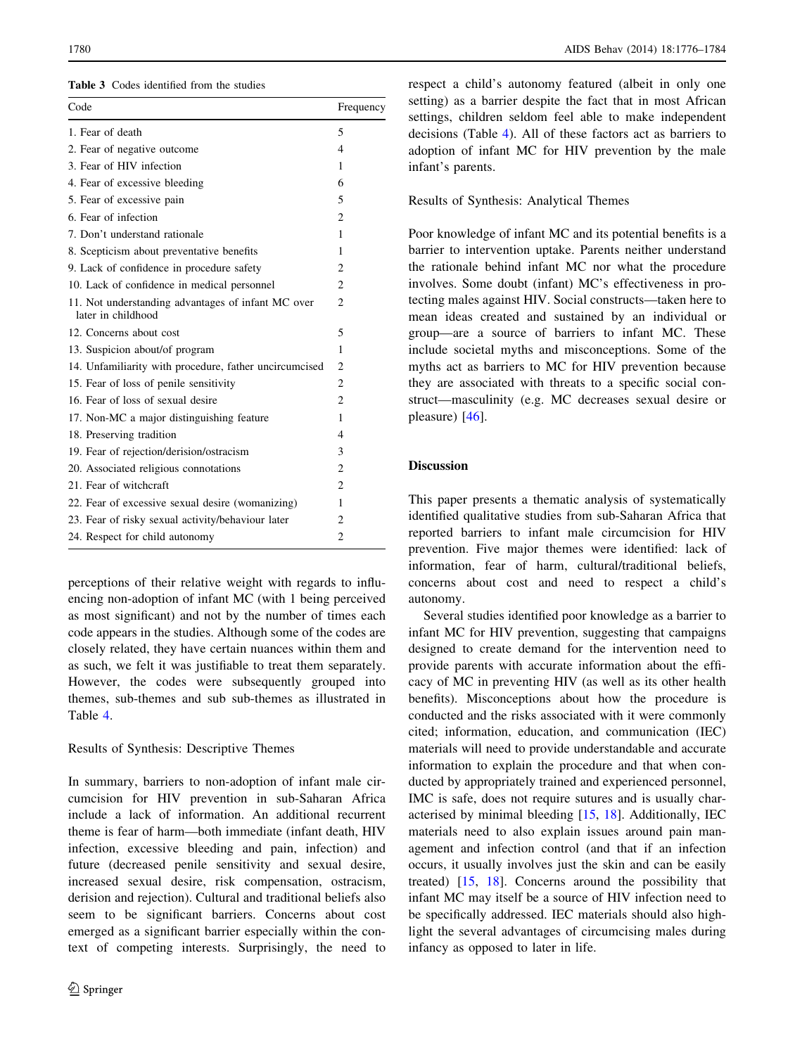<span id="page-4-0"></span>Table 3 Codes identified from the studies

| Code                                                                     | Frequency      |
|--------------------------------------------------------------------------|----------------|
| 1. Fear of death                                                         | 5              |
| 2. Fear of negative outcome                                              | 4              |
| 3. Fear of HIV infection                                                 | 1              |
| 4. Fear of excessive bleeding                                            | 6              |
| 5. Fear of excessive pain                                                | 5              |
| 6. Fear of infection                                                     | 2              |
| 7. Don't understand rationale                                            | 1              |
| 8. Scepticism about preventative benefits                                | 1              |
| 9. Lack of confidence in procedure safety                                | 2              |
| 10. Lack of confidence in medical personnel                              | $\overline{2}$ |
| 11. Not understanding advantages of infant MC over<br>later in childhood | 2              |
| 12. Concerns about cost                                                  | 5              |
| 13. Suspicion about/of program                                           | 1              |
| 14. Unfamiliarity with procedure, father uncircumcised                   | $\overline{c}$ |
| 15. Fear of loss of penile sensitivity                                   | 2              |
| 16. Fear of loss of sexual desire                                        | $\overline{c}$ |
| 17. Non-MC a major distinguishing feature                                | 1              |
| 18. Preserving tradition                                                 | 4              |
| 19. Fear of rejection/derision/ostracism                                 | 3              |
| 20. Associated religious connotations                                    | $\overline{c}$ |
| 21. Fear of witchcraft                                                   | 2              |
| 22. Fear of excessive sexual desire (womanizing)                         | 1              |
| 23. Fear of risky sexual activity/behaviour later                        | 2              |
| 24. Respect for child autonomy                                           | 2              |
|                                                                          |                |

perceptions of their relative weight with regards to influencing non-adoption of infant MC (with 1 being perceived as most significant) and not by the number of times each code appears in the studies. Although some of the codes are closely related, they have certain nuances within them and as such, we felt it was justifiable to treat them separately. However, the codes were subsequently grouped into themes, sub-themes and sub sub-themes as illustrated in Table [4](#page-5-0).

#### Results of Synthesis: Descriptive Themes

In summary, barriers to non-adoption of infant male circumcision for HIV prevention in sub-Saharan Africa include a lack of information. An additional recurrent theme is fear of harm—both immediate (infant death, HIV infection, excessive bleeding and pain, infection) and future (decreased penile sensitivity and sexual desire, increased sexual desire, risk compensation, ostracism, derision and rejection). Cultural and traditional beliefs also seem to be significant barriers. Concerns about cost emerged as a significant barrier especially within the context of competing interests. Surprisingly, the need to respect a child's autonomy featured (albeit in only one setting) as a barrier despite the fact that in most African settings, children seldom feel able to make independent decisions (Table [4\)](#page-5-0). All of these factors act as barriers to adoption of infant MC for HIV prevention by the male infant's parents.

Results of Synthesis: Analytical Themes

Poor knowledge of infant MC and its potential benefits is a barrier to intervention uptake. Parents neither understand the rationale behind infant MC nor what the procedure involves. Some doubt (infant) MC's effectiveness in protecting males against HIV. Social constructs—taken here to mean ideas created and sustained by an individual or group—are a source of barriers to infant MC. These include societal myths and misconceptions. Some of the myths act as barriers to MC for HIV prevention because they are associated with threats to a specific social construct—masculinity (e.g. MC decreases sexual desire or pleasure) [[46](#page-8-0)].

## Discussion

This paper presents a thematic analysis of systematically identified qualitative studies from sub-Saharan Africa that reported barriers to infant male circumcision for HIV prevention. Five major themes were identified: lack of information, fear of harm, cultural/traditional beliefs, concerns about cost and need to respect a child's autonomy.

Several studies identified poor knowledge as a barrier to infant MC for HIV prevention, suggesting that campaigns designed to create demand for the intervention need to provide parents with accurate information about the efficacy of MC in preventing HIV (as well as its other health benefits). Misconceptions about how the procedure is conducted and the risks associated with it were commonly cited; information, education, and communication (IEC) materials will need to provide understandable and accurate information to explain the procedure and that when conducted by appropriately trained and experienced personnel, IMC is safe, does not require sutures and is usually characterised by minimal bleeding [[15,](#page-7-0) [18](#page-7-0)]. Additionally, IEC materials need to also explain issues around pain management and infection control (and that if an infection occurs, it usually involves just the skin and can be easily treated) [\[15](#page-7-0), [18](#page-7-0)]. Concerns around the possibility that infant MC may itself be a source of HIV infection need to be specifically addressed. IEC materials should also highlight the several advantages of circumcising males during infancy as opposed to later in life.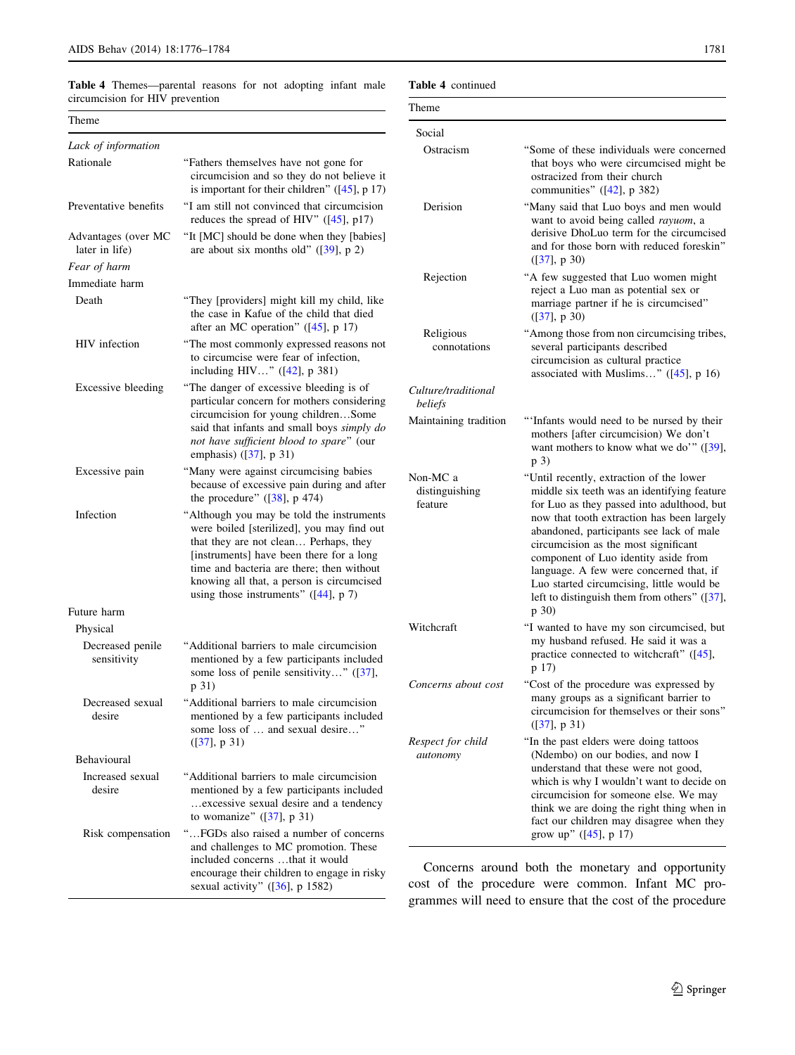<span id="page-5-0"></span>Table 4 Themes—parental reasons for not adopting infant male circumcision for HIV prevention

| Theme                                 |                                                                                                                                                                                                                                                                                                                  |  |  |
|---------------------------------------|------------------------------------------------------------------------------------------------------------------------------------------------------------------------------------------------------------------------------------------------------------------------------------------------------------------|--|--|
| Lack of information                   |                                                                                                                                                                                                                                                                                                                  |  |  |
| Rationale                             | "Fathers themselves have not gone for<br>circumcision and so they do not believe it<br>is important for their children" $([45], p 17)$                                                                                                                                                                           |  |  |
| Preventative benefits                 | "I am still not convinced that circumcision<br>reduces the spread of HIV" $([45], p17)$                                                                                                                                                                                                                          |  |  |
| Advantages (over MC<br>later in life) | "It [MC] should be done when they [babies]<br>are about six months old" $([39], p 2)$                                                                                                                                                                                                                            |  |  |
| Fear of harm                          |                                                                                                                                                                                                                                                                                                                  |  |  |
| Immediate harm                        |                                                                                                                                                                                                                                                                                                                  |  |  |
| Death                                 | "They [providers] might kill my child, like<br>the case in Kafue of the child that died<br>after an MC operation" $([45], p 17)$                                                                                                                                                                                 |  |  |
| HIV infection                         | "The most commonly expressed reasons not<br>to circumcise were fear of infection,<br>including HIV" ([42], p 381)                                                                                                                                                                                                |  |  |
| Excessive bleeding                    | "The danger of excessive bleeding is of<br>particular concern for mothers considering<br>circumcision for young childrenSome<br>said that infants and small boys simply do<br>not have sufficient blood to spare" (our<br>emphasis) ([37], p 31)                                                                 |  |  |
| Excessive pain                        | "Many were against circumcising babies<br>because of excessive pain during and after<br>the procedure" $([38], p 474)$                                                                                                                                                                                           |  |  |
| Infection                             | "Although you may be told the instruments<br>were boiled [sterilized], you may find out<br>that they are not clean Perhaps, they<br>[instruments] have been there for a long<br>time and bacteria are there; then without<br>knowing all that, a person is circumcised<br>using those instruments" $([44], p 7)$ |  |  |
| Future harm                           |                                                                                                                                                                                                                                                                                                                  |  |  |
| Physical                              |                                                                                                                                                                                                                                                                                                                  |  |  |
| Decreased penile<br>sensitivity       | "Additional barriers to male circumcision<br>mentioned by a few participants included<br>some loss of penile sensitivity" $([37],$<br>p 31)                                                                                                                                                                      |  |  |
| Decreased sexual<br>desire            | "Additional barriers to male circumcision<br>mentioned by a few participants included<br>some loss of  and sexual desire"<br>([37], p 31)                                                                                                                                                                        |  |  |
| Behavioural                           |                                                                                                                                                                                                                                                                                                                  |  |  |
| Increased sexual<br>desire            | "Additional barriers to male circumcision<br>mentioned by a few participants included<br>excessive sexual desire and a tendency<br>to womanize" $([37], p 31)$                                                                                                                                                   |  |  |
| Risk compensation                     | "FGDs also raised a number of concerns<br>and challenges to MC promotion. These<br>included concerns that it would<br>encourage their children to engage in risky<br>sexual activity" $([36]$ , p 1582)                                                                                                          |  |  |

| Table 4 continued                     |                                                                                                                                                                                                                                                                                                                                                                                                                                                                    |  |  |  |  |
|---------------------------------------|--------------------------------------------------------------------------------------------------------------------------------------------------------------------------------------------------------------------------------------------------------------------------------------------------------------------------------------------------------------------------------------------------------------------------------------------------------------------|--|--|--|--|
| Theme                                 |                                                                                                                                                                                                                                                                                                                                                                                                                                                                    |  |  |  |  |
| Social                                |                                                                                                                                                                                                                                                                                                                                                                                                                                                                    |  |  |  |  |
| Ostracism                             | "Some of these individuals were concerned<br>that boys who were circumcised might be<br>ostracized from their church<br>communities" ([42], p 382)                                                                                                                                                                                                                                                                                                                 |  |  |  |  |
| Derision                              | "Many said that Luo boys and men would<br>want to avoid being called rayuom, a<br>derisive DhoLuo term for the circumcised<br>and for those born with reduced foreskin"<br>([37], p 30)                                                                                                                                                                                                                                                                            |  |  |  |  |
| Rejection                             | "A few suggested that Luo women might<br>reject a Luo man as potential sex or<br>marriage partner if he is circumcised"<br>([37], p 30)                                                                                                                                                                                                                                                                                                                            |  |  |  |  |
| Religious<br>connotations             | "Among those from non circumcising tribes,<br>several participants described<br>circumcision as cultural practice<br>associated with Muslims" $([45], p 16)$                                                                                                                                                                                                                                                                                                       |  |  |  |  |
| Culture/traditional<br>beliefs        |                                                                                                                                                                                                                                                                                                                                                                                                                                                                    |  |  |  |  |
| Maintaining tradition                 | "Infants would need to be nursed by their<br>mothers [after circumcision) We don't<br>want mothers to know what we do" $(39)$ ,<br>p 3)                                                                                                                                                                                                                                                                                                                            |  |  |  |  |
| Non-MC a<br>distinguishing<br>feature | "Until recently, extraction of the lower<br>middle six teeth was an identifying feature<br>for Luo as they passed into adulthood, but<br>now that tooth extraction has been largely<br>abandoned, participants see lack of male<br>circumcision as the most significant<br>component of Luo identity aside from<br>language. A few were concerned that, if<br>Luo started circumcising, little would be<br>left to distinguish them from others" $([37],$<br>p 30) |  |  |  |  |
| Witchcraft                            | "I wanted to have my son circumcised, but<br>my husband refused. He said it was a<br>practice connected to witchcraft" $([45],$<br>p 17)                                                                                                                                                                                                                                                                                                                           |  |  |  |  |
| Concerns about cost                   | "Cost of the procedure was expressed by<br>many groups as a significant barrier to<br>circumcision for themselves or their sons"<br>([37], p 31)                                                                                                                                                                                                                                                                                                                   |  |  |  |  |
| Respect for child<br>autonomy         | "In the past elders were doing tattoos"<br>(Ndembo) on our bodies, and now I<br>understand that these were not good,<br>which is why I wouldn't want to decide on<br>circumcision for someone else. We may<br>think we are doing the right thing when in<br>fact our children may disagree when they<br>grow up" ([45], p 17)                                                                                                                                      |  |  |  |  |

Concerns around both the monetary and opportunity cost of the procedure were common. Infant MC programmes will need to ensure that the cost of the procedure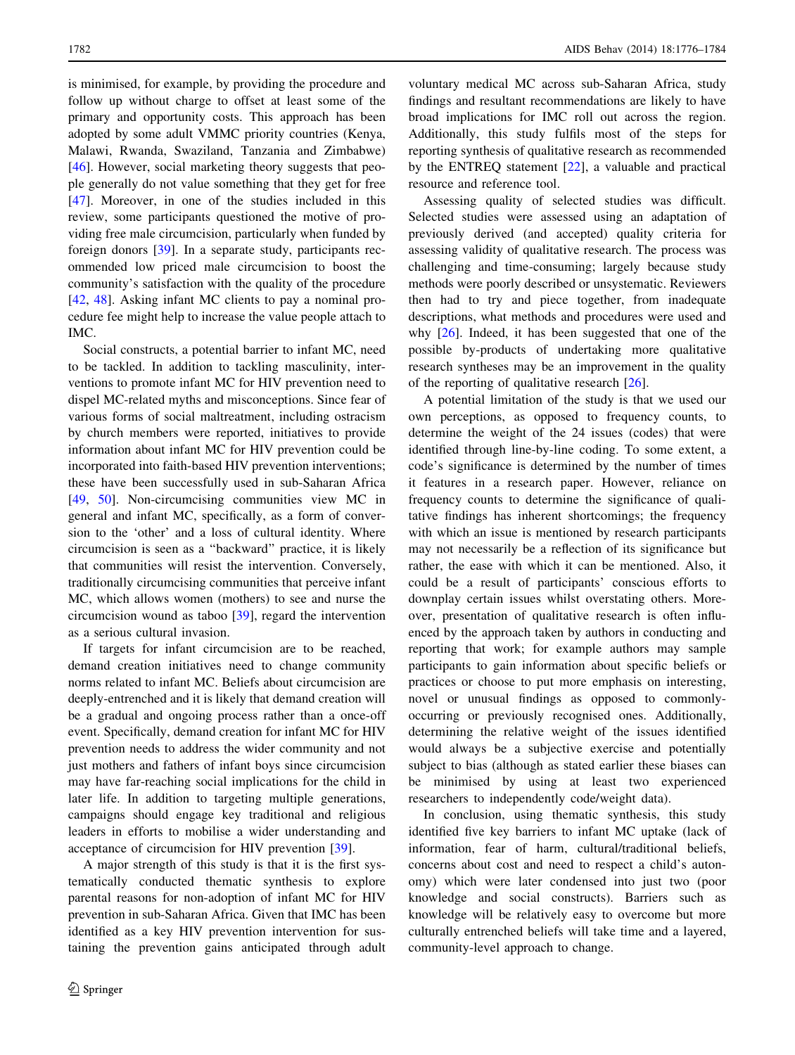is minimised, for example, by providing the procedure and follow up without charge to offset at least some of the primary and opportunity costs. This approach has been adopted by some adult VMMC priority countries (Kenya, Malawi, Rwanda, Swaziland, Tanzania and Zimbabwe) [\[46](#page-8-0)]. However, social marketing theory suggests that people generally do not value something that they get for free [\[47](#page-8-0)]. Moreover, in one of the studies included in this review, some participants questioned the motive of providing free male circumcision, particularly when funded by foreign donors [\[39](#page-8-0)]. In a separate study, participants recommended low priced male circumcision to boost the community's satisfaction with the quality of the procedure [\[42](#page-8-0), [48](#page-8-0)]. Asking infant MC clients to pay a nominal procedure fee might help to increase the value people attach to IMC.

Social constructs, a potential barrier to infant MC, need to be tackled. In addition to tackling masculinity, interventions to promote infant MC for HIV prevention need to dispel MC-related myths and misconceptions. Since fear of various forms of social maltreatment, including ostracism by church members were reported, initiatives to provide information about infant MC for HIV prevention could be incorporated into faith-based HIV prevention interventions; these have been successfully used in sub-Saharan Africa [\[49](#page-8-0), [50](#page-8-0)]. Non-circumcising communities view MC in general and infant MC, specifically, as a form of conversion to the 'other' and a loss of cultural identity. Where circumcision is seen as a ''backward'' practice, it is likely that communities will resist the intervention. Conversely, traditionally circumcising communities that perceive infant MC, which allows women (mothers) to see and nurse the circumcision wound as taboo [\[39](#page-8-0)], regard the intervention as a serious cultural invasion.

If targets for infant circumcision are to be reached, demand creation initiatives need to change community norms related to infant MC. Beliefs about circumcision are deeply-entrenched and it is likely that demand creation will be a gradual and ongoing process rather than a once-off event. Specifically, demand creation for infant MC for HIV prevention needs to address the wider community and not just mothers and fathers of infant boys since circumcision may have far-reaching social implications for the child in later life. In addition to targeting multiple generations, campaigns should engage key traditional and religious leaders in efforts to mobilise a wider understanding and acceptance of circumcision for HIV prevention [[39\]](#page-8-0).

A major strength of this study is that it is the first systematically conducted thematic synthesis to explore parental reasons for non-adoption of infant MC for HIV prevention in sub-Saharan Africa. Given that IMC has been identified as a key HIV prevention intervention for sustaining the prevention gains anticipated through adult voluntary medical MC across sub-Saharan Africa, study findings and resultant recommendations are likely to have broad implications for IMC roll out across the region. Additionally, this study fulfils most of the steps for reporting synthesis of qualitative research as recommended by the ENTREQ statement [\[22](#page-7-0)], a valuable and practical resource and reference tool.

Assessing quality of selected studies was difficult. Selected studies were assessed using an adaptation of previously derived (and accepted) quality criteria for assessing validity of qualitative research. The process was challenging and time-consuming; largely because study methods were poorly described or unsystematic. Reviewers then had to try and piece together, from inadequate descriptions, what methods and procedures were used and why [\[26](#page-7-0)]. Indeed, it has been suggested that one of the possible by-products of undertaking more qualitative research syntheses may be an improvement in the quality of the reporting of qualitative research [[26\]](#page-7-0).

A potential limitation of the study is that we used our own perceptions, as opposed to frequency counts, to determine the weight of the 24 issues (codes) that were identified through line-by-line coding. To some extent, a code's significance is determined by the number of times it features in a research paper. However, reliance on frequency counts to determine the significance of qualitative findings has inherent shortcomings; the frequency with which an issue is mentioned by research participants may not necessarily be a reflection of its significance but rather, the ease with which it can be mentioned. Also, it could be a result of participants' conscious efforts to downplay certain issues whilst overstating others. Moreover, presentation of qualitative research is often influenced by the approach taken by authors in conducting and reporting that work; for example authors may sample participants to gain information about specific beliefs or practices or choose to put more emphasis on interesting, novel or unusual findings as opposed to commonlyoccurring or previously recognised ones. Additionally, determining the relative weight of the issues identified would always be a subjective exercise and potentially subject to bias (although as stated earlier these biases can be minimised by using at least two experienced researchers to independently code/weight data).

In conclusion, using thematic synthesis, this study identified five key barriers to infant MC uptake (lack of information, fear of harm, cultural/traditional beliefs, concerns about cost and need to respect a child's autonomy) which were later condensed into just two (poor knowledge and social constructs). Barriers such as knowledge will be relatively easy to overcome but more culturally entrenched beliefs will take time and a layered, community-level approach to change.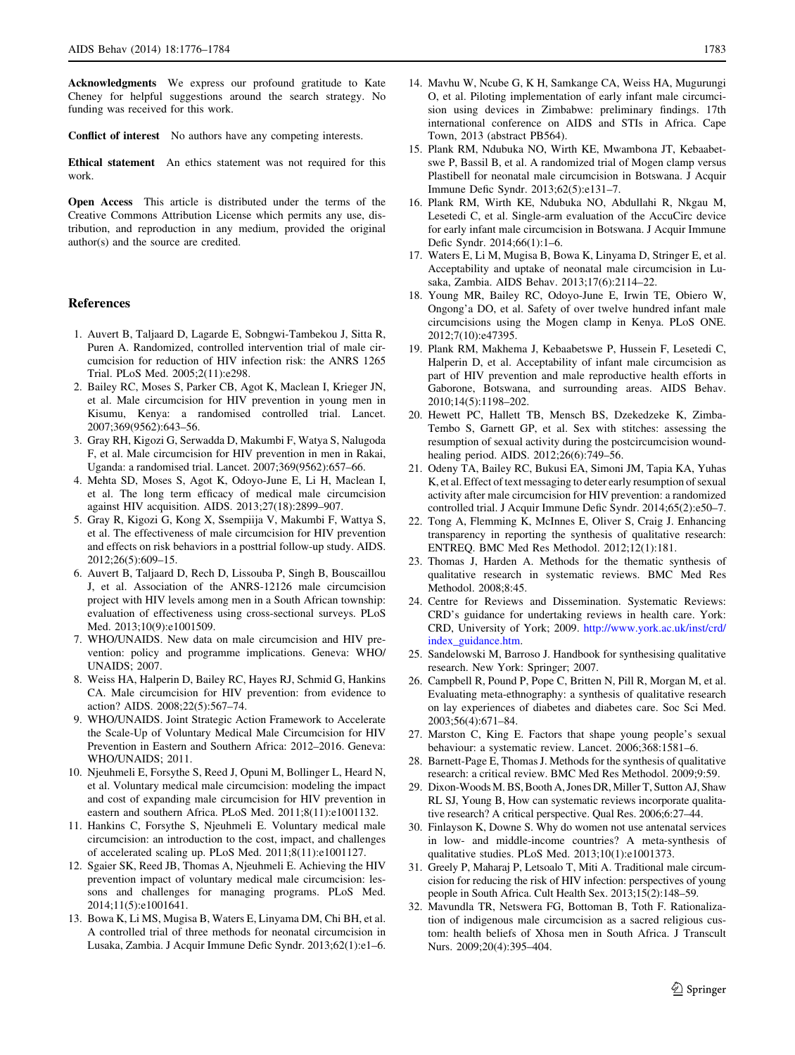<span id="page-7-0"></span>Acknowledgments We express our profound gratitude to Kate Cheney for helpful suggestions around the search strategy. No funding was received for this work.

Conflict of interest No authors have any competing interests.

Ethical statement An ethics statement was not required for this work.

Open Access This article is distributed under the terms of the Creative Commons Attribution License which permits any use, distribution, and reproduction in any medium, provided the original author(s) and the source are credited.

#### References

- 1. Auvert B, Taljaard D, Lagarde E, Sobngwi-Tambekou J, Sitta R, Puren A. Randomized, controlled intervention trial of male circumcision for reduction of HIV infection risk: the ANRS 1265 Trial. PLoS Med. 2005;2(11):e298.
- 2. Bailey RC, Moses S, Parker CB, Agot K, Maclean I, Krieger JN, et al. Male circumcision for HIV prevention in young men in Kisumu, Kenya: a randomised controlled trial. Lancet. 2007;369(9562):643–56.
- 3. Gray RH, Kigozi G, Serwadda D, Makumbi F, Watya S, Nalugoda F, et al. Male circumcision for HIV prevention in men in Rakai, Uganda: a randomised trial. Lancet. 2007;369(9562):657–66.
- 4. Mehta SD, Moses S, Agot K, Odoyo-June E, Li H, Maclean I, et al. The long term efficacy of medical male circumcision against HIV acquisition. AIDS. 2013;27(18):2899–907.
- 5. Gray R, Kigozi G, Kong X, Ssempiija V, Makumbi F, Wattya S, et al. The effectiveness of male circumcision for HIV prevention and effects on risk behaviors in a posttrial follow-up study. AIDS. 2012;26(5):609–15.
- 6. Auvert B, Taljaard D, Rech D, Lissouba P, Singh B, Bouscaillou J, et al. Association of the ANRS-12126 male circumcision project with HIV levels among men in a South African township: evaluation of effectiveness using cross-sectional surveys. PLoS Med. 2013;10(9):e1001509.
- 7. WHO/UNAIDS. New data on male circumcision and HIV prevention: policy and programme implications. Geneva: WHO/ UNAIDS; 2007.
- 8. Weiss HA, Halperin D, Bailey RC, Hayes RJ, Schmid G, Hankins CA. Male circumcision for HIV prevention: from evidence to action? AIDS. 2008;22(5):567–74.
- 9. WHO/UNAIDS. Joint Strategic Action Framework to Accelerate the Scale-Up of Voluntary Medical Male Circumcision for HIV Prevention in Eastern and Southern Africa: 2012–2016. Geneva: WHO/UNAIDS; 2011.
- 10. Njeuhmeli E, Forsythe S, Reed J, Opuni M, Bollinger L, Heard N, et al. Voluntary medical male circumcision: modeling the impact and cost of expanding male circumcision for HIV prevention in eastern and southern Africa. PLoS Med. 2011;8(11):e1001132.
- 11. Hankins C, Forsythe S, Njeuhmeli E. Voluntary medical male circumcision: an introduction to the cost, impact, and challenges of accelerated scaling up. PLoS Med. 2011;8(11):e1001127.
- 12. Sgaier SK, Reed JB, Thomas A, Njeuhmeli E. Achieving the HIV prevention impact of voluntary medical male circumcision: lessons and challenges for managing programs. PLoS Med. 2014;11(5):e1001641.
- 13. Bowa K, Li MS, Mugisa B, Waters E, Linyama DM, Chi BH, et al. A controlled trial of three methods for neonatal circumcision in Lusaka, Zambia. J Acquir Immune Defic Syndr. 2013;62(1):e1–6.
- 14. Mavhu W, Ncube G, K H, Samkange CA, Weiss HA, Mugurungi O, et al. Piloting implementation of early infant male circumcision using devices in Zimbabwe: preliminary findings. 17th international conference on AIDS and STIs in Africa. Cape Town, 2013 (abstract PB564).
- 15. Plank RM, Ndubuka NO, Wirth KE, Mwambona JT, Kebaabetswe P, Bassil B, et al. A randomized trial of Mogen clamp versus Plastibell for neonatal male circumcision in Botswana. J Acquir Immune Defic Syndr. 2013;62(5):e131–7.
- 16. Plank RM, Wirth KE, Ndubuka NO, Abdullahi R, Nkgau M, Lesetedi C, et al. Single-arm evaluation of the AccuCirc device for early infant male circumcision in Botswana. J Acquir Immune Defic Syndr. 2014;66(1):1–6.
- 17. Waters E, Li M, Mugisa B, Bowa K, Linyama D, Stringer E, et al. Acceptability and uptake of neonatal male circumcision in Lusaka, Zambia. AIDS Behav. 2013;17(6):2114–22.
- 18. Young MR, Bailey RC, Odoyo-June E, Irwin TE, Obiero W, Ongong'a DO, et al. Safety of over twelve hundred infant male circumcisions using the Mogen clamp in Kenya. PLoS ONE. 2012;7(10):e47395.
- 19. Plank RM, Makhema J, Kebaabetswe P, Hussein F, Lesetedi C, Halperin D, et al. Acceptability of infant male circumcision as part of HIV prevention and male reproductive health efforts in Gaborone, Botswana, and surrounding areas. AIDS Behav. 2010;14(5):1198–202.
- 20. Hewett PC, Hallett TB, Mensch BS, Dzekedzeke K, Zimba-Tembo S, Garnett GP, et al. Sex with stitches: assessing the resumption of sexual activity during the postcircumcision woundhealing period. AIDS. 2012;26(6):749–56.
- 21. Odeny TA, Bailey RC, Bukusi EA, Simoni JM, Tapia KA, Yuhas K, et al. Effect of text messaging to deter early resumption of sexual activity after male circumcision for HIV prevention: a randomized controlled trial. J Acquir Immune Defic Syndr. 2014;65(2):e50–7.
- 22. Tong A, Flemming K, McInnes E, Oliver S, Craig J. Enhancing transparency in reporting the synthesis of qualitative research: ENTREQ. BMC Med Res Methodol. 2012;12(1):181.
- 23. Thomas J, Harden A. Methods for the thematic synthesis of qualitative research in systematic reviews. BMC Med Res Methodol. 2008;8:45.
- 24. Centre for Reviews and Dissemination. Systematic Reviews: CRD's guidance for undertaking reviews in health care. York: CRD, University of York; 2009. [http://www.york.ac.uk/inst/crd/](http://www.york.ac.uk/inst/crd/index_guidance.htm) [index\\_guidance.htm.](http://www.york.ac.uk/inst/crd/index_guidance.htm)
- 25. Sandelowski M, Barroso J. Handbook for synthesising qualitative research. New York: Springer; 2007.
- 26. Campbell R, Pound P, Pope C, Britten N, Pill R, Morgan M, et al. Evaluating meta-ethnography: a synthesis of qualitative research on lay experiences of diabetes and diabetes care. Soc Sci Med. 2003;56(4):671–84.
- 27. Marston C, King E. Factors that shape young people's sexual behaviour: a systematic review. Lancet. 2006;368:1581–6.
- 28. Barnett-Page E, Thomas J. Methods for the synthesis of qualitative research: a critical review. BMC Med Res Methodol. 2009;9:59.
- 29. Dixon-Woods M. BS, Booth A, Jones DR, Miller T, Sutton AJ, Shaw RL SJ, Young B, How can systematic reviews incorporate qualitative research? A critical perspective. Qual Res. 2006;6:27–44.
- 30. Finlayson K, Downe S. Why do women not use antenatal services in low- and middle-income countries? A meta-synthesis of qualitative studies. PLoS Med. 2013;10(1):e1001373.
- 31. Greely P, Maharaj P, Letsoalo T, Miti A. Traditional male circumcision for reducing the risk of HIV infection: perspectives of young people in South Africa. Cult Health Sex. 2013;15(2):148–59.
- 32. Mavundla TR, Netswera FG, Bottoman B, Toth F. Rationalization of indigenous male circumcision as a sacred religious custom: health beliefs of Xhosa men in South Africa. J Transcult Nurs. 2009;20(4):395–404.